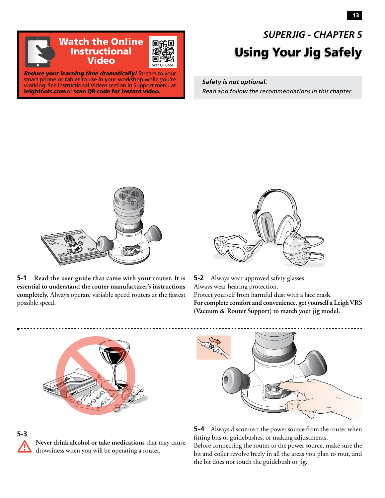

smart phone or tablet to use in your workshop while you're working. See Instructional Videos section in Support menu at leightools.com or scan QR code for instant video.

## Using Your Jig Safely *SUPERJIG - CHAPTER 5*

*Safety is not optional. Read and follow the recommendations in this chapter.*



**5-1 Read the user guide that came with your router. It is essential to understand the router manufacturer's instructions completely.** Always operate variable speed routers at the fastest possible speed.



**5-2** Always wear approved safety glasses. Always wear hearing protection. Protect yourself from harmful dust with a face mask. **For complete comfort and convenience, get yourself a Leigh VRS (Vacuum & Router Support) to match your jig model.**







**5-4** Always disconnect the power source from the router when fitting bits or guidebushes, or making adjustments.

Before connecting the router to the power source, make sure the bit and collet revolve freely in all the areas you plan to rout, and the bit does not touch the guidebush or jig.